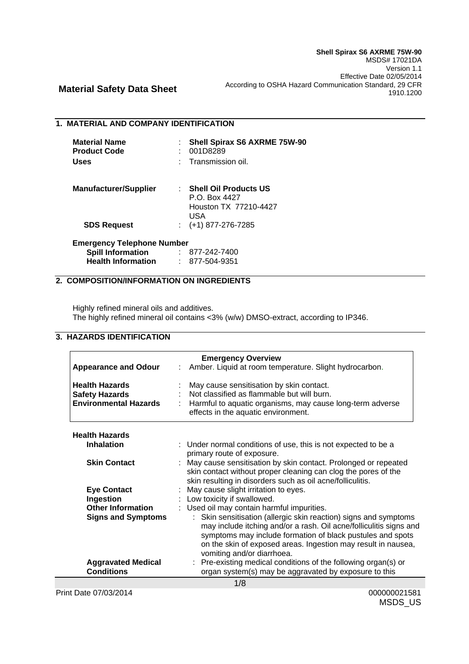## **1. MATERIAL AND COMPANY IDENTIFICATION**

| <b>Material Name</b><br><b>Product Code</b><br><b>Uses</b> | Shell Spirax S6 AXRME 75W-90<br>001D8289<br>Transmission oil.                   |
|------------------------------------------------------------|---------------------------------------------------------------------------------|
| <b>Manufacturer/Supplier</b>                               | : Shell Oil Products US<br>P.O. Box 4427<br>Houston TX 77210-4427<br><b>USA</b> |
| <b>SDS Request</b>                                         | $:(+1)$ 877-276-7285                                                            |
| <b>Emergency Telephone Number</b>                          |                                                                                 |
| <b>Spill Information</b>                                   | : 877-242-7400                                                                  |
| <b>Health Information</b>                                  | : 877-504-9351                                                                  |

# **2. COMPOSITION/INFORMATION ON INGREDIENTS**

Highly refined mineral oils and additives. The highly refined mineral oil contains <3% (w/w) DMSO-extract, according to IP346.

# **3. HAZARDS IDENTIFICATION**

|                              | <b>Emergency Overview</b>                                                                                                                                                                                                                                                                           |
|------------------------------|-----------------------------------------------------------------------------------------------------------------------------------------------------------------------------------------------------------------------------------------------------------------------------------------------------|
| <b>Appearance and Odour</b>  | Amber. Liquid at room temperature. Slight hydrocarbon.                                                                                                                                                                                                                                              |
| <b>Health Hazards</b>        | May cause sensitisation by skin contact.                                                                                                                                                                                                                                                            |
| <b>Safety Hazards</b>        | Not classified as flammable but will burn.                                                                                                                                                                                                                                                          |
| <b>Environmental Hazards</b> | Harmful to aquatic organisms, may cause long-term adverse<br>effects in the aquatic environment.                                                                                                                                                                                                    |
| <b>Health Hazards</b>        |                                                                                                                                                                                                                                                                                                     |
| <b>Inhalation</b>            | : Under normal conditions of use, this is not expected to be a                                                                                                                                                                                                                                      |
|                              | primary route of exposure.                                                                                                                                                                                                                                                                          |
| <b>Skin Contact</b>          | : May cause sensitisation by skin contact. Prolonged or repeated<br>skin contact without proper cleaning can clog the pores of the<br>skin resulting in disorders such as oil acne/folliculitis.                                                                                                    |
| <b>Eye Contact</b>           | : May cause slight irritation to eyes.                                                                                                                                                                                                                                                              |
| Ingestion                    | : Low toxicity if swallowed.                                                                                                                                                                                                                                                                        |
| <b>Other Information</b>     | : Used oil may contain harmful impurities.                                                                                                                                                                                                                                                          |
| <b>Signs and Symptoms</b>    | : Skin sensitisation (allergic skin reaction) signs and symptoms<br>may include itching and/or a rash. Oil acne/folliculitis signs and<br>symptoms may include formation of black pustules and spots<br>on the skin of exposed areas. Ingestion may result in nausea,<br>vomiting and/or diarrhoea. |
| <b>Aggravated Medical</b>    | : Pre-existing medical conditions of the following organ(s) or                                                                                                                                                                                                                                      |
| <b>Conditions</b>            | organ system(s) may be aggravated by exposure to this                                                                                                                                                                                                                                               |
|                              | 1/8                                                                                                                                                                                                                                                                                                 |

Print Date 07/03/2014 000000021581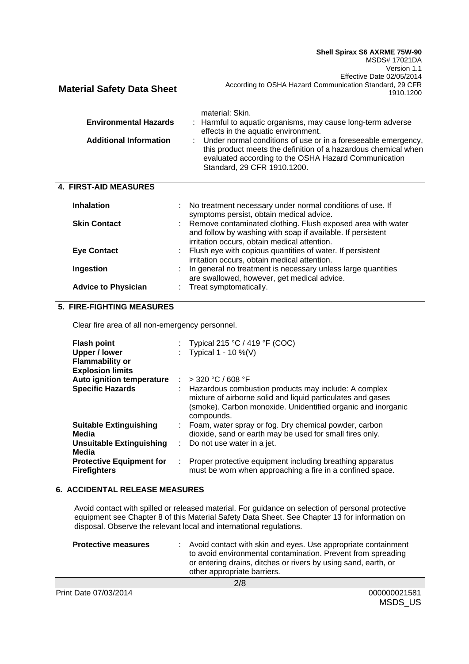**Shell Spirax S6 AXRME 75W-90** MSDS# 17021DA Version 1.1 **Material Safety Data Sheet** Effective Date 02/05/2014 According to OSHA Hazard Communication Standard, 29 CFR 1910.1200 material: Skin. **Environmental Hazards** : Harmful to aquatic organisms, may cause long-term adverse effects in the aquatic environment. Additional Information : Under normal conditions of use or in a foreseeable emergency, this product meets the definition of a hazardous chemical when evaluated according to the OSHA Hazard Communication Standard, 29 CFR 1910.1200.  **4. FIRST-AID MEASURES Inhalation Example 20** : No treatment necessary under normal conditions of use. If symptoms persist, obtain medical advice. **Skin Contact** : Remove contaminated clothing. Flush exposed area with water and follow by washing with soap if available. If persistent irritation occurs, obtain medical attention. **Eye Contact** : Flush eye with copious quantities of water. If persistent irritation occurs, obtain medical attention.

#### **Ingestion** : In general no treatment is necessary unless large quantities are swallowed, however, get medical advice. Advice to Physician : Treat symptomatically.

# **5. FIRE-FIGHTING MEASURES**

Clear fire area of all non-emergency personnel.

| <b>Flash point</b><br><b>Upper / lower</b><br><b>Flammability or</b><br><b>Explosion limits</b> |   | : Typical 215 °C / 419 °F (COC)<br>: Typical $1 - 10 \%$ (V)                                                                                                                                      |
|-------------------------------------------------------------------------------------------------|---|---------------------------------------------------------------------------------------------------------------------------------------------------------------------------------------------------|
| Auto ignition temperature                                                                       |   | $:$ > 320 °C / 608 °F                                                                                                                                                                             |
| <b>Specific Hazards</b>                                                                         |   | Hazardous combustion products may include: A complex<br>mixture of airborne solid and liquid particulates and gases<br>(smoke). Carbon monoxide. Unidentified organic and inorganic<br>compounds. |
| <b>Suitable Extinguishing</b>                                                                   |   | Foam, water spray or fog. Dry chemical powder, carbon                                                                                                                                             |
| Media                                                                                           |   | dioxide, sand or earth may be used for small fires only.                                                                                                                                          |
| Unsuitable Extinguishing                                                                        |   | $\therefore$ Do not use water in a jet.                                                                                                                                                           |
| Media                                                                                           |   |                                                                                                                                                                                                   |
| <b>Protective Equipment for</b>                                                                 | ÷ | Proper protective equipment including breathing apparatus                                                                                                                                         |
| <b>Firefighters</b>                                                                             |   | must be worn when approaching a fire in a confined space.                                                                                                                                         |

#### **6. ACCIDENTAL RELEASE MEASURES**

Avoid contact with spilled or released material. For guidance on selection of personal protective equipment see Chapter 8 of this Material Safety Data Sheet. See Chapter 13 for information on disposal. Observe the relevant local and international regulations.

| <b>Protective measures</b> | : Avoid contact with skin and eyes. Use appropriate containment<br>to avoid environmental contamination. Prevent from spreading<br>or entering drains, ditches or rivers by using sand, earth, or<br>other appropriate barriers. |
|----------------------------|----------------------------------------------------------------------------------------------------------------------------------------------------------------------------------------------------------------------------------|
|                            | 2/8                                                                                                                                                                                                                              |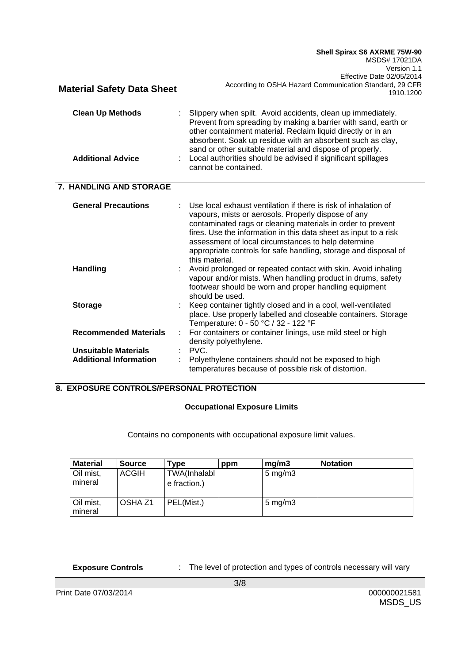|                                   | Shell Spirax S6 AXRME 75W-90<br>MSDS# 17021DA<br>Version 1.1<br>Effective Date 02/05/2014<br>According to OSHA Hazard Communication Standard, 29 CFR                                                                                                                                                                                                                                                  |
|-----------------------------------|-------------------------------------------------------------------------------------------------------------------------------------------------------------------------------------------------------------------------------------------------------------------------------------------------------------------------------------------------------------------------------------------------------|
| <b>Material Safety Data Sheet</b> | 1910.1200                                                                                                                                                                                                                                                                                                                                                                                             |
| <b>Clean Up Methods</b>           | Slippery when spilt. Avoid accidents, clean up immediately.<br>Prevent from spreading by making a barrier with sand, earth or<br>other containment material. Reclaim liquid directly or in an<br>absorbent. Soak up residue with an absorbent such as clay,<br>sand or other suitable material and dispose of properly.                                                                               |
| <b>Additional Advice</b>          | Local authorities should be advised if significant spillages<br>cannot be contained.                                                                                                                                                                                                                                                                                                                  |
| 7. HANDLING AND STORAGE           |                                                                                                                                                                                                                                                                                                                                                                                                       |
| <b>General Precautions</b>        | Use local exhaust ventilation if there is risk of inhalation of<br>vapours, mists or aerosols. Properly dispose of any<br>contaminated rags or cleaning materials in order to prevent<br>fires. Use the information in this data sheet as input to a risk<br>assessment of local circumstances to help determine<br>appropriate controls for safe handling, storage and disposal of<br>this material. |
| <b>Handling</b>                   | Avoid prolonged or repeated contact with skin. Avoid inhaling<br>vapour and/or mists. When handling product in drums, safety<br>footwear should be worn and proper handling equipment<br>should be used.                                                                                                                                                                                              |
| <b>Storage</b>                    | Keep container tightly closed and in a cool, well-ventilated<br>place. Use properly labelled and closeable containers. Storage<br>Temperature: 0 - 50 °C / 32 - 122 °F                                                                                                                                                                                                                                |
| <b>Recommended Materials</b>      | For containers or container linings, use mild steel or high<br>density polyethylene.                                                                                                                                                                                                                                                                                                                  |
| <b>Unsuitable Materials</b>       | PVC.                                                                                                                                                                                                                                                                                                                                                                                                  |
| <b>Additional Information</b>     | Polyethylene containers should not be exposed to high<br>temperatures because of possible risk of distortion.                                                                                                                                                                                                                                                                                         |

# **8. EXPOSURE CONTROLS/PERSONAL PROTECTION**

## **Occupational Exposure Limits**

Contains no components with occupational exposure limit values.

| <b>Material</b>      | <b>Source</b> | $\mathsf{Type}$              | ppm | ma/m3              | <b>Notation</b> |
|----------------------|---------------|------------------------------|-----|--------------------|-----------------|
| Oil mist,<br>mineral | <b>ACGIH</b>  | TWA(Inhalabl<br>e fraction.) |     | $5 \text{ mg/m}$ 3 |                 |
| Oil mist,<br>mineral | OSHA Z1       | PEL(Mist.)                   |     | $5 \text{ mg/m}$ 3 |                 |

**Exposure Controls** : The level of protection and types of controls necessary will vary

Print Date 07/03/2014 000000021581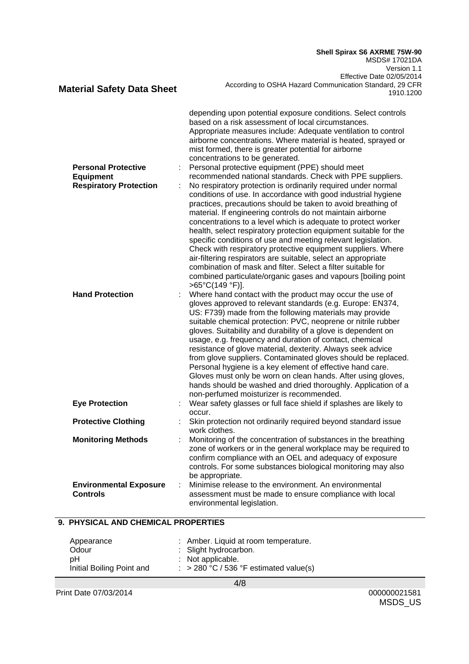**Shell Spirax S6 AXRME 75W-90** MSDS# 17021DA Version 1.1 Effective Date 02/05/2014 According to OSHA Hazard Communication Standard, 29 CFR 1910.1200

| <b>Personal Protective</b><br><b>Equipment</b><br><b>Respiratory Protection</b><br><b>Hand Protection</b> | depending upon potential exposure conditions. Select controls<br>based on a risk assessment of local circumstances.<br>Appropriate measures include: Adequate ventilation to control<br>airborne concentrations. Where material is heated, sprayed or<br>mist formed, there is greater potential for airborne<br>concentrations to be generated.<br>Personal protective equipment (PPE) should meet<br>recommended national standards. Check with PPE suppliers.<br>No respiratory protection is ordinarily required under normal<br>conditions of use. In accordance with good industrial hygiene<br>practices, precautions should be taken to avoid breathing of<br>material. If engineering controls do not maintain airborne<br>concentrations to a level which is adequate to protect worker<br>health, select respiratory protection equipment suitable for the<br>specific conditions of use and meeting relevant legislation.<br>Check with respiratory protective equipment suppliers. Where<br>air-filtering respirators are suitable, select an appropriate<br>combination of mask and filter. Select a filter suitable for<br>combined particulate/organic gases and vapours [boiling point<br>>65°C(149 °F)].<br>Where hand contact with the product may occur the use of<br>gloves approved to relevant standards (e.g. Europe: EN374,<br>US: F739) made from the following materials may provide |
|-----------------------------------------------------------------------------------------------------------|-----------------------------------------------------------------------------------------------------------------------------------------------------------------------------------------------------------------------------------------------------------------------------------------------------------------------------------------------------------------------------------------------------------------------------------------------------------------------------------------------------------------------------------------------------------------------------------------------------------------------------------------------------------------------------------------------------------------------------------------------------------------------------------------------------------------------------------------------------------------------------------------------------------------------------------------------------------------------------------------------------------------------------------------------------------------------------------------------------------------------------------------------------------------------------------------------------------------------------------------------------------------------------------------------------------------------------------------------------------------------------------------------------------------|
|                                                                                                           | suitable chemical protection: PVC, neoprene or nitrile rubber<br>gloves. Suitability and durability of a glove is dependent on<br>usage, e.g. frequency and duration of contact, chemical<br>resistance of glove material, dexterity. Always seek advice<br>from glove suppliers. Contaminated gloves should be replaced.<br>Personal hygiene is a key element of effective hand care.<br>Gloves must only be worn on clean hands. After using gloves,<br>hands should be washed and dried thoroughly. Application of a<br>non-perfumed moisturizer is recommended.                                                                                                                                                                                                                                                                                                                                                                                                                                                                                                                                                                                                                                                                                                                                                                                                                                             |
| <b>Eye Protection</b>                                                                                     | Wear safety glasses or full face shield if splashes are likely to<br>occur.                                                                                                                                                                                                                                                                                                                                                                                                                                                                                                                                                                                                                                                                                                                                                                                                                                                                                                                                                                                                                                                                                                                                                                                                                                                                                                                                     |
| <b>Protective Clothing</b>                                                                                | Skin protection not ordinarily required beyond standard issue<br>work clothes.                                                                                                                                                                                                                                                                                                                                                                                                                                                                                                                                                                                                                                                                                                                                                                                                                                                                                                                                                                                                                                                                                                                                                                                                                                                                                                                                  |
| <b>Monitoring Methods</b>                                                                                 | Monitoring of the concentration of substances in the breathing<br>zone of workers or in the general workplace may be required to<br>confirm compliance with an OEL and adequacy of exposure<br>controls. For some substances biological monitoring may also<br>be appropriate.                                                                                                                                                                                                                                                                                                                                                                                                                                                                                                                                                                                                                                                                                                                                                                                                                                                                                                                                                                                                                                                                                                                                  |
| <b>Environmental Exposure</b><br><b>Controls</b>                                                          | Minimise release to the environment. An environmental<br>assessment must be made to ensure compliance with local<br>environmental legislation.                                                                                                                                                                                                                                                                                                                                                                                                                                                                                                                                                                                                                                                                                                                                                                                                                                                                                                                                                                                                                                                                                                                                                                                                                                                                  |

# **9. PHYSICAL AND CHEMICAL PROPERTIES**

**Material Safety Data Sheet**

| Appearance                | : Amber. Liquid at room temperature.              |
|---------------------------|---------------------------------------------------|
| Odour                     | : Slight hydrocarbon.                             |
| pН                        | : Not applicable.                                 |
| Initial Boiling Point and | $\therefore$ > 280 °C / 536 °F estimated value(s) |
|                           |                                                   |

Print Date 07/03/2014 000000021581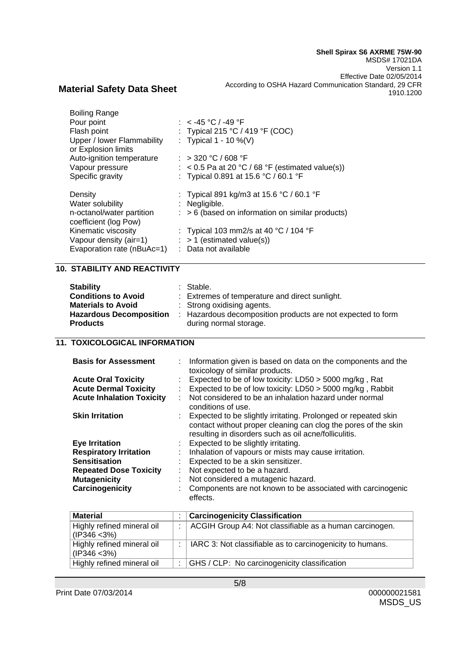| <b>Boiling Range</b>                              |                                                             |
|---------------------------------------------------|-------------------------------------------------------------|
| Pour point                                        | : $<$ -45 °C / -49 °F                                       |
| Flash point                                       | : Typical 215 °C / 419 °F (COC)                             |
| Upper / lower Flammability<br>or Explosion limits | : Typical $1 - 10 \%$ (V)                                   |
| Auto-ignition temperature                         | $:$ > 320 °C / 608 °F                                       |
| Vapour pressure                                   | $\therefore$ < 0.5 Pa at 20 °C / 68 °F (estimated value(s)) |
| Specific gravity                                  | : Typical 0.891 at 15.6 °C / 60.1 °F                        |
|                                                   |                                                             |
| Density                                           | : Typical 891 kg/m3 at 15.6 °C / 60.1 °F                    |
| Water solubility                                  | $:$ Negligible.                                             |
| n-octanol/water partition                         | $\therefore$ > 6 (based on information on similar products) |
| coefficient (log Pow)                             |                                                             |
| Kinematic viscosity                               | : Typical 103 mm2/s at 40 °C / 104 °F                       |
| Vapour density (air=1)                            | $:$ > 1 (estimated value(s))                                |
| Evaporation rate (nBuAc=1)                        | : Data not available                                        |

# **10. STABILITY AND REACTIVITY**

| <b>Stability</b><br><b>Conditions to Avoid</b><br><b>Materials to Avoid</b><br><b>Hazardous Decomposition</b> | : Stable.<br>: Extremes of temperature and direct sunlight.<br>: Strong oxidising agents.<br>: Hazardous decomposition products are not expected to form |
|---------------------------------------------------------------------------------------------------------------|----------------------------------------------------------------------------------------------------------------------------------------------------------|
| <b>Products</b>                                                                                               | during normal storage.                                                                                                                                   |

# **11. TOXICOLOGICAL INFORMATION**

| <b>Basis for Assessment</b>      |    | : Information given is based on data on the components and the<br>toxicology of similar products.                                                                                           |
|----------------------------------|----|---------------------------------------------------------------------------------------------------------------------------------------------------------------------------------------------|
| <b>Acute Oral Toxicity</b>       |    | : Expected to be of low toxicity: LD50 > 5000 mg/kg, Rat                                                                                                                                    |
| <b>Acute Dermal Toxicity</b>     |    | Expected to be of low toxicity: LD50 > 5000 mg/kg, Rabbit                                                                                                                                   |
| <b>Acute Inhalation Toxicity</b> |    | : Not considered to be an inhalation hazard under normal<br>conditions of use.                                                                                                              |
| <b>Skin Irritation</b>           |    | : Expected to be slightly irritating. Prolonged or repeated skin<br>contact without proper cleaning can clog the pores of the skin<br>resulting in disorders such as oil acne/folliculitis. |
| <b>Eye Irritation</b>            |    | : Expected to be slightly irritating.                                                                                                                                                       |
| <b>Respiratory Irritation</b>    | ÷. | Inhalation of vapours or mists may cause irritation.                                                                                                                                        |
| <b>Sensitisation</b>             |    | Expected to be a skin sensitizer.                                                                                                                                                           |
| <b>Repeated Dose Toxicity</b>    | ÷  | Not expected to be a hazard.                                                                                                                                                                |
| <b>Mutagenicity</b>              |    | Not considered a mutagenic hazard.                                                                                                                                                          |
| Carcinogenicity                  |    | Components are not known to be associated with carcinogenic<br>effects.                                                                                                                     |

| <b>Material</b>                               | <b>Carcinogenicity Classification</b>                     |
|-----------------------------------------------|-----------------------------------------------------------|
| Highly refined mineral oil<br>$(IP346 < 3\%)$ | ACGIH Group A4: Not classifiable as a human carcinogen.   |
| Highly refined mineral oil<br>$(IP346 < 3\%)$ | IARC 3: Not classifiable as to carcinogenicity to humans. |
| Highly refined mineral oil                    | GHS / CLP: No carcinogenicity classification              |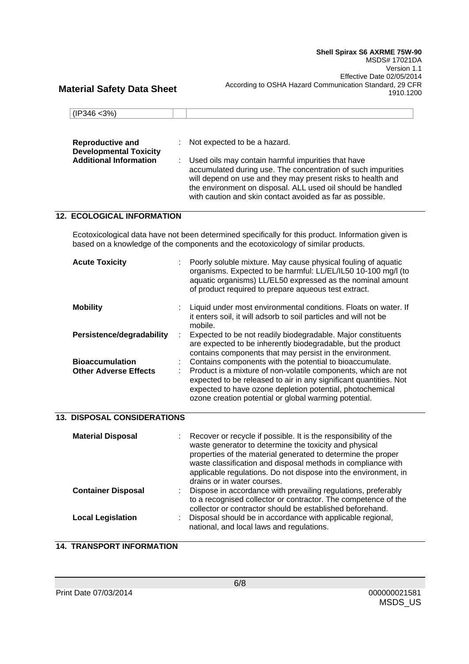| $ $ (IP346 <3%)               |                                           |
|-------------------------------|-------------------------------------------|
|                               |                                           |
|                               |                                           |
| <b>Reproductive and</b>       | $\therefore$ Not expected to be a hazard. |
| <b>Developmental Toxicity</b> |                                           |

| <b>Additional Information</b> | : Used oils may contain harmful impurities that have         |
|-------------------------------|--------------------------------------------------------------|
|                               | accumulated during use. The concentration of such impurities |
|                               | will depend on use and they may present risks to health and  |
|                               | the environment on disposal. ALL used oil should be handled  |
|                               | with caution and skin contact avoided as far as possible.    |

## **12. ECOLOGICAL INFORMATION**

Ecotoxicological data have not been determined specifically for this product. Information given is based on a knowledge of the components and the ecotoxicology of similar products.

| <b>Acute Toxicity</b>                                  |   | Poorly soluble mixture. May cause physical fouling of aquatic<br>organisms. Expected to be harmful: LL/EL/IL50 10-100 mg/l (to<br>aquatic organisms) LL/EL50 expressed as the nominal amount<br>of product required to prepare aqueous test extract.                                                                  |
|--------------------------------------------------------|---|-----------------------------------------------------------------------------------------------------------------------------------------------------------------------------------------------------------------------------------------------------------------------------------------------------------------------|
| <b>Mobility</b>                                        |   | Liquid under most environmental conditions. Floats on water. If<br>it enters soil, it will adsorb to soil particles and will not be<br>mobile.                                                                                                                                                                        |
| Persistence/degradability                              |   | Expected to be not readily biodegradable. Major constituents<br>are expected to be inherently biodegradable, but the product<br>contains components that may persist in the environment.                                                                                                                              |
| <b>Bioaccumulation</b><br><b>Other Adverse Effects</b> | ÷ | Contains components with the potential to bioaccumulate.<br>Product is a mixture of non-volatile components, which are not<br>expected to be released to air in any significant quantities. Not<br>expected to have ozone depletion potential, photochemical<br>ozone creation potential or global warming potential. |

## **13. DISPOSAL CONSIDERATIONS**

| <b>Material Disposal</b>  | Recover or recycle if possible. It is the responsibility of the<br>waste generator to determine the toxicity and physical<br>properties of the material generated to determine the proper<br>waste classification and disposal methods in compliance with<br>applicable regulations. Do not dispose into the environment, in<br>drains or in water courses. |
|---------------------------|-------------------------------------------------------------------------------------------------------------------------------------------------------------------------------------------------------------------------------------------------------------------------------------------------------------------------------------------------------------|
| <b>Container Disposal</b> | Dispose in accordance with prevailing regulations, preferably<br>to a recognised collector or contractor. The competence of the<br>collector or contractor should be established beforehand.                                                                                                                                                                |
| <b>Local Legislation</b>  | Disposal should be in accordance with applicable regional,<br>national, and local laws and regulations.                                                                                                                                                                                                                                                     |

### **14. TRANSPORT INFORMATION**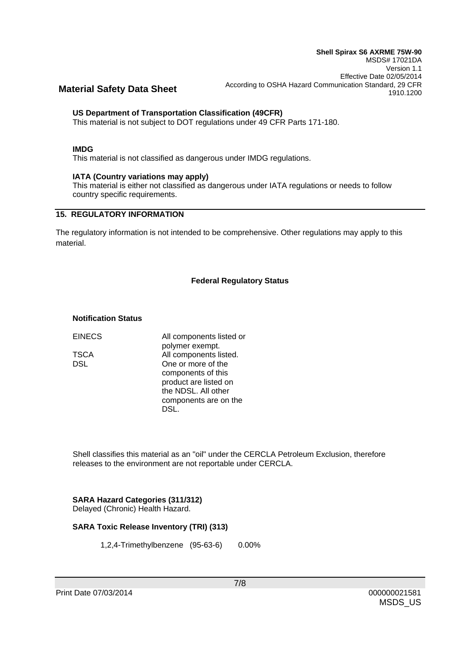### **US Department of Transportation Classification (49CFR)**

This material is not subject to DOT regulations under 49 CFR Parts 171-180.

#### **IMDG**

This material is not classified as dangerous under IMDG regulations.

#### **IATA (Country variations may apply)**

This material is either not classified as dangerous under IATA regulations or needs to follow country specific requirements.

## **15. REGULATORY INFORMATION**

The regulatory information is not intended to be comprehensive. Other regulations may apply to this material.

#### **Federal Regulatory Status**

#### **Notification Status**

EINECS All components listed or polymer exempt. TSCA All components listed. DSL One or more of the components of this product are listed on the NDSL. All other components are on the DSL.

Shell classifies this material as an "oil" under the CERCLA Petroleum Exclusion, therefore releases to the environment are not reportable under CERCLA.

# **SARA Hazard Categories (311/312)**

Delayed (Chronic) Health Hazard.

#### **SARA Toxic Release Inventory (TRI) (313)**

1,2,4-Trimethylbenzene (95-63-6) 0.00%